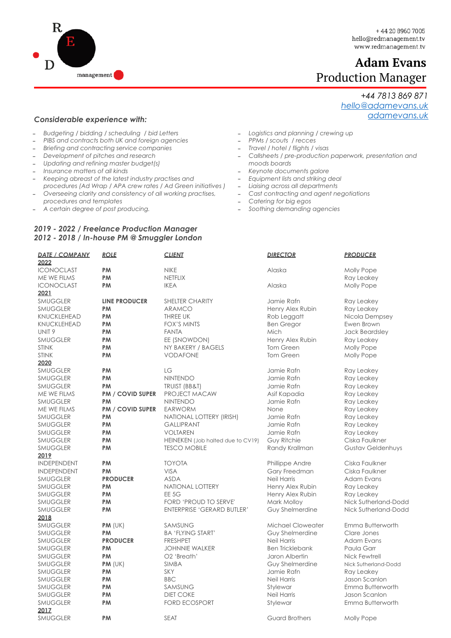

*+44 7813 869 871 [hello@adamevans.uk](mailto:hello@adamevans.uk)*

*[adamevans.uk](http://adamevans.uk)*

# **Adam Evans** Production Manager

## *Considerable experience with:*

- *- Budgeting / bidding / scheduling / bid Letters*
- *- PIBS and contracts both UK and foreign agencies*
- *- Briefing and contracting service companies*
- *- Development of pitches and research*
- *- Updating and refining master budget(s)*
- *- Insurance matters of all kinds*
- *- Keeping abreast of the latest industry practises and procedures (Ad Wrap / APA crew rates / Ad Green initiatives )*
- *- Overseeing clarity and consistency of all working practises, procedures and templates*
- *- A certain degree of post producing.*

### *2019 - 2022 / Freelance Production Manager 2012 - 2018 / In-house PM @ Smuggler London*

*- Logistics and planning / crewing up* 

- *- PPMs / scouts / recces*
- *- Travel / hotel / flights / visas*
- *- Callsheets / pre-production paperwork, presentation and moods boards*
- 
- *- Keynote documents galore*
- *- Equipment lists and striking deal - Liaising across all departments*
- *- Cast contracting and agent negotiations*
- *- Catering for big egos*
- *- Soothing demanding agencies*

| <b>DATE / COMPANY</b> | <b>ROLE</b>             | <b>CLIENT</b>                     | <b>DIRECTOR</b>        | <b>PRODUCER</b>                   |
|-----------------------|-------------------------|-----------------------------------|------------------------|-----------------------------------|
| 2022                  |                         |                                   |                        |                                   |
| <b>ICONOCLAST</b>     | <b>PM</b>               | <b>NIKE</b>                       | Alaska                 | Molly Pope                        |
| ME WE FILMS           | PM                      | <b>NETFLIX</b>                    |                        | Ray Leakey                        |
| <b>ICONOCLAST</b>     | <b>PM</b>               | <b>IKEA</b>                       | Alaska                 | Molly Pope                        |
| 2021                  |                         |                                   |                        |                                   |
| <b>SMUGGLER</b>       | <b>LINE PRODUCER</b>    | <b>SHELTER CHARITY</b>            | Jamie Rafn             | Ray Leakey                        |
| <b>SMUGGLER</b>       | PM                      | <b>ARAMCO</b>                     | Henry Alex Rubin       | Ray Leakey                        |
| KNUCKLEHEAD           | PM                      | <b>THREE UK</b>                   | Rob Leggatt            | Nicola Dempsey                    |
| <b>KNUCKLEHEAD</b>    | <b>PM</b>               | <b>FOX'S MINTS</b>                | <b>Ben Gregor</b>      | Ewen Brown                        |
| UNIT <sub>9</sub>     | PM                      | <b>FANTA</b>                      | Mich                   | Jack Beardsley                    |
| <b>SMUGGLER</b>       | <b>PM</b>               | EE (SNOWDON)                      | Henry Alex Rubin       | Ray Leakey                        |
| <b>STINK</b>          | PM                      | NY BAKERY / BAGELS                | Tom Green              | Molly Pope                        |
| <b>STINK</b>          | <b>PM</b>               | <b>VODAFONE</b>                   | Tom Green              | Molly Pope                        |
| 2020                  |                         |                                   |                        |                                   |
| <b>SMUGGLER</b>       | <b>PM</b>               | LG                                | Jamie Rafn             | Ray Leakey                        |
| <b>SMUGGLER</b>       | PM                      | <b>NINTENDO</b>                   | Jamie Rafn             | Ray Leakey                        |
| <b>SMUGGLER</b>       | PM                      | TRUIST (BB&T)                     | Jamie Rafn             | Ray Leakey                        |
| ME WE FILMS           | <b>PM / COVID SUPER</b> | PROJECT MACAW                     | Asif Kapadia           | Ray Leakey                        |
| <b>SMUGGLER</b>       | PM                      | <b>NINTENDO</b>                   | Jamie Rafn             | Ray Leakey                        |
| ME WE FILMS           | <b>PM / COVID SUPER</b> | <b>EARWORM</b>                    | None                   | Ray Leakey                        |
| <b>SMUGGLER</b>       | <b>PM</b>               | NATIONAL LOTTERY (IRISH)          | Jamie Rafn             | Ray Leakey                        |
| <b>SMUGGLER</b>       | PM                      | <b>GALLIPRANT</b>                 | Jamie Rafn             | Ray Leakey                        |
| <b>SMUGGLER</b>       | PM                      | <b>VOLTAREN</b>                   | Jamie Rafn             | Ray Leakey                        |
| <b>SMUGGLER</b>       | <b>PM</b>               | HEINEKEN (Job halted due to CV19) | Guy Ritchie            | Ciska Faulkner                    |
| <b>SMUGGLER</b>       | <b>PM</b>               | <b>TESCO MOBILE</b>               | Randy Krallman         | Gustav Geldenhuys                 |
| 2019                  |                         |                                   |                        |                                   |
| <b>INDEPENDENT</b>    | <b>PM</b>               | <b>TOYOTA</b>                     | Phillippe Andre        | Ciska Faulkner                    |
| <b>INDEPENDENT</b>    | PM                      | <b>VISA</b>                       | Gary Freedman          | Ciska Faulkner                    |
| <b>SMUGGLER</b>       | <b>PRODUCER</b>         | <b>ASDA</b>                       | <b>Neil Harris</b>     | <b>Adam Evans</b>                 |
| <b>SMUGGLER</b>       | <b>PM</b>               | <b>NATIONAL LOTTERY</b>           | Henry Alex Rubin       | Ray Leakey                        |
| <b>SMUGGLER</b>       | PM                      | <b>EE 5G</b>                      | Henry Alex Rubin       | Ray Leakey                        |
| <b>SMUGGLER</b>       | PM                      | FORD 'PROUD TO SERVE'             | Mark Molloy            | Nick Sutherland-Dodd              |
| <b>SMUGGLER</b>       | <b>PM</b>               | <b>ENTERPRISE 'GERARD BUTLER'</b> | Guy Shelmerdine        | Nick Sutherland-Dodd              |
| 2018                  |                         |                                   |                        |                                   |
| <b>SMUGGLER</b>       | $PM$ (UK)               | SAMSUNG                           | Michael Cloweater      | Emma Butterworth                  |
| <b>SMUGGLER</b>       | PM                      | <b>BA 'FLYING START'</b>          | Guy Shelmerdine        | Clare Jones                       |
| <b>SMUGGLER</b>       | <b>PRODUCER</b>         | <b>FRESHPET</b>                   | Neil Harris            | Adam Evans                        |
| <b>SMUGGLER</b>       | <b>PM</b>               | <b>JOHNNIE WALKER</b>             | <b>Ben Tricklebank</b> | Paula Garr                        |
| <b>SMUGGLER</b>       | <b>PM</b>               | O <sub>2</sub> 'Breath'           | Jaron Albertin         | Nick Fewtrell                     |
| <b>SMUGGLER</b>       |                         | <b>SIMBA</b>                      | Guy Shelmerdine        |                                   |
|                       | $PM$ (UK)<br>PM         | SKY                               | Jamie Rafn             | Nick Sutherland-Dodd              |
| SMUGGLER              |                         | <b>BBC</b>                        |                        | Ray Leakey                        |
| <b>SMUGGLER</b>       | <b>PM</b>               |                                   | Neil Harris            | Jason Scanlon                     |
| <b>SMUGGLER</b>       | <b>PM</b><br>PM         | SAMSUNG                           | Stylewar               | Emma Butterworth<br>Jason Scanlon |
| <b>SMUGGLER</b>       |                         | <b>DIET COKE</b>                  | <b>Neil Harris</b>     |                                   |
| <b>SMUGGLER</b>       | <b>PM</b>               | <b>FORD ECOSPORT</b>              | Stylewar               | Emma Butterworth                  |
| 2017                  |                         |                                   |                        |                                   |
| <b>SMUGGLER</b>       | PM                      | <b>SEAT</b>                       | <b>Guard Brothers</b>  | Molly Pope                        |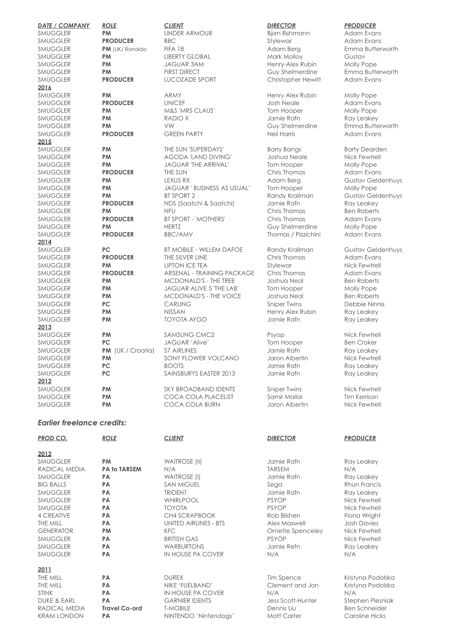| <b>DATE / COMPANY</b><br><b>SMUGGLER</b> | <b>ROLE</b><br>PM | <b>CLIENT</b><br><b>UNDER ARMOUR</b> | <b>DIRECTOR</b><br>Björn Rühmann | <b>PRODUCER</b><br><b>Adam Evans</b> |
|------------------------------------------|-------------------|--------------------------------------|----------------------------------|--------------------------------------|
| <b>SMUGGLER</b>                          | <b>PRODUCER</b>   | <b>BBC</b>                           | Stylewar                         | Adam Evans                           |
| SMUGGLER                                 | PM (UK/ Ronaldo   | FIFA 18                              | Adam Berg                        | Emma Butterworth                     |
| <b>SMUGGLER</b>                          | PM                | <b>LIBERTY GLOBAL</b>                | Mark Molloy                      | Gustav                               |
| <b>SMUGGLER</b>                          | PM                | <b>JAGUAR 3AM</b>                    | Henry-Alex Rubin                 | Molly Pope                           |
| <b>SMUGGLER</b>                          | PM                | <b>FIRST DIRECT</b>                  | Guy Shelmerdine                  | Emma Butterworth                     |
| <b>SMUGGLER</b>                          | <b>PRODUCER</b>   | <b>LUCOZADE SPORT</b>                | Christopher Hewitt               | <b>Adam Evans</b>                    |
| 2016                                     |                   |                                      |                                  |                                      |
| <b>SMUGGLER</b>                          | <b>PM</b>         | ARMY                                 | Henry Alex Rubin                 | Molly Pope                           |
| <b>SMUGGLER</b>                          | <b>PRODUCER</b>   | <b>UNICEF</b>                        | <b>Josh Neale</b>                | Adam Evans                           |
| <b>SMUGGLER</b>                          | <b>PM</b>         | M&S 'MRS CLAUS'                      | Tom Hooper                       | Molly Pope                           |
| <b>SMUGGLER</b>                          | <b>PM</b>         | RADIO X                              | Jamie Rafn                       | Ray Leakey                           |
| <b>SMUGGLER</b>                          | PM                | VW                                   | Guy Shelmerdine                  | Emma Butterworth                     |
| <b>SMUGGLER</b>                          | <b>PRODUCER</b>   | <b>GREEN PARTY</b>                   | <b>Neil Harris</b>               | Adam Evans                           |
| 2015                                     |                   |                                      |                                  |                                      |
| <b>SMUGGLER</b>                          | PM                | THE SUN 'SUPERDAYS'                  | <b>Barry Bangs</b>               | <b>Barty Dearden</b>                 |
| SMUGGLER                                 | PM                | <b>AGODA 'LAND DIVING'</b>           | Joshua Neale                     | Nick Fewtrell                        |
| SMUGGLER                                 | PM                | <b>JAGUAR 'THE ARRIVAL'</b>          | Tom Hooper                       | Molly Pope                           |
| <b>SMUGGLER</b>                          | <b>PRODUCER</b>   | THE SUN                              | Chris Thomas                     | Adam Evans                           |
| SMUGGLER                                 | PM                | <b>LEXUS RX</b>                      | Adam Berg                        | <b>Gustav Geldenhuys</b>             |
| <b>SMUGGLER</b>                          | PM                | <b>JAGUAR ' BUSINESS AS USUAL'</b>   | Tom Hooper                       | Molly Pope                           |
| <b>SMUGGLER</b>                          | PM                | <b>BT SPORT 2</b>                    | Randy Krallman                   | <b>Gustav Geldenhuys</b>             |
| <b>SMUGGLER</b>                          | <b>PRODUCER</b>   | NDS (Saatchi & Saatchi)              | Jamie Rafn                       | Ray Leakey                           |
| SMUGGLER                                 | PM                | <b>NFU</b>                           | Chris Thomas                     | <b>Ben Roberts</b>                   |
| SMUGGLER                                 | <b>PRODUCER</b>   | <b>BT SPORT - 'MOTHERS'</b>          | Chris Thomas                     | Adam Evans                           |
| <b>SMUGGLER</b>                          | PM                | <b>HERTZ</b>                         | Guy Shelmerdine                  | Molly Pope                           |
| <b>SMUGGLER</b>                          | <b>PRODUCER</b>   | <b>BBC/AMV</b>                       | Thomas / Pizzichini              | Adam Evans                           |
| 2014                                     |                   |                                      |                                  |                                      |
| <b>SMUGGLER</b>                          | <b>PC</b>         | <b>BT MOBILE - WILLEM DAFOE</b>      | Randy Krallman                   | <b>Gustav Geldenhuys</b>             |
| <b>SMUGGLER</b>                          | <b>PRODUCER</b>   | THE SILVER LINE                      | Chris Thomas                     | Adam Evans                           |
| <b>SMUGGLER</b>                          | <b>PM</b>         | <b>LIPTON ICE TEA</b>                | Stylewar                         | Nick Fewtrell                        |
| <b>SMUGGLER</b>                          | <b>PRODUCER</b>   | ARSENAL - TRAINING PACKAGE           | Chris Thomas                     | <b>Adam Evans</b>                    |
| <b>SMUGGLER</b>                          | PM                | MCDONALD'S - THE TREE                | Joshua Neal                      | <b>Ben Roberts</b>                   |
| <b>SMUGGLER</b>                          | PM                | JAGUAR ALIVE 5 'THE LAB'             | Tom Hooper                       | Molly Pope                           |
| <b>SMUGGLER</b>                          | PM                | MCDONALD'S - THE VOICE               | Joshua Neal                      | <b>Ben Roberts</b>                   |
| <b>SMUGGLER</b>                          | <b>PC</b>         | <b>CARLING</b>                       | <b>Sniper Twins</b>              | Debbie Ninnis                        |
| <b>SMUGGLER</b>                          | PM                | <b>NISSAN</b>                        | Henry Alex Rubin                 | Ray Leakey                           |
| <b>SMUGGLER</b>                          | PM                | <b>TOYOTA AYGO</b>                   | Jamie Rafn                       | Ray Leakey                           |
| 2013                                     |                   |                                      |                                  |                                      |
| <b>SMUGGLER</b>                          | PM                | <b>SAMSUNG CMC2</b>                  | Psyop                            | Nick Fewtrell                        |
| <b>SMUGGLER</b>                          | <b>PC</b>         | JAGUAR 'Alive'                       | Tom Hooper                       | <b>Ben Croker</b>                    |
| <b>SMUGGLER</b>                          | PM (UK / Croatia) | <b>S7 AIRLINES</b>                   | Jamie Rafn                       | Ray Leakey                           |
| <b>SMUGGLER</b>                          | <b>PM</b>         | SONY FLOWER VOLCANO                  | Jaron Albertin                   | Nick Fewtrell                        |
| <b>SMUGGLER</b>                          | <b>PC</b>         | <b>BOOTS</b>                         | Jamie Rafn                       | Ray Leakey                           |
| <b>SMUGGLER</b>                          | PC                | SAINSBURYS EASTER 2013               | Jamie Rafn                       | Ray Leakey                           |
| 2012                                     |                   |                                      |                                  |                                      |
| <b>SMUGGLER</b>                          | PM                | <b>SKY BROADBAND IDENTS</b>          | <b>Sniper Twins</b>              | Nick Fewtrell                        |
| <b>SMUGGLER</b>                          | PM                | COCA COLA PLACELIST                  | Samir Mallal                     | <b>Tim Kerrison</b>                  |
| <b>SMUGGLER</b>                          | <b>PM</b>         | <b>COCA COLA BURN</b>                | Jaron Albertin                   | Nick Fewtrell                        |

# *Earlier freelance credits:*

| <b>PROD CO.</b>        | <b>ROLE</b>          | <b>CLIENT</b>                | <b>DIRECTOR</b>    | <b>PRODUCER</b>      |
|------------------------|----------------------|------------------------------|--------------------|----------------------|
| 2012                   |                      |                              |                    |                      |
| <b>SMUGGLER</b>        | <b>PM</b>            | <b>WAITROSE (II)</b>         | Jamie Rafn         | Ray Leakey           |
| RADICAL MEDIA          | <b>PA to TARSEM</b>  | N/A                          | <b>TARSEM</b>      | N/A                  |
| <b>SMUGGLER</b>        | <b>PA</b>            | <b>WAITROSE (I)</b>          | Jamie Rafn         | Ray Leakey           |
| <b>BIG BALLS</b>       | <b>PA</b>            | <b>SAN MIGUEL</b>            | Sega               | Rhun Francis         |
| <b>SMUGGLER</b>        | <b>PA</b>            | <b>TRIDENT</b>               | Jamie Rafn         | Ray Leakey           |
| <b>SMUGGLER</b>        | PA                   | <b>WHIRLPOOL</b>             | <b>PSYOP</b>       | Nick Fewtrell        |
| <b>SMUGGLER</b>        | PA                   | <b>TOYOTA</b>                | <b>PSYOP</b>       | Nick Fewtrell        |
| 4 CREATIVE             | <b>PA</b>            | CH4 SCRAPBOOK                | Rob Blishen        | Fiona Wright         |
| THE MILL               | PA                   | <b>UNITED AIRLINES - BTS</b> | Alex Maxwell       | <b>Josh Davies</b>   |
| <b>GENERATOR</b>       | PM                   | <b>KFC</b>                   | Ornette Spenceley  | Nick Fewtrell        |
| <b>SMUGGLER</b>        | PA                   | <b>BRITISH GAS</b>           | <b>PSYOP</b>       | Nick Fewtrell        |
| <b>SMUGGLER</b>        | <b>PA</b>            | <b>WARBURTONS</b>            | Jamie Refn         | Ray Leakey           |
| <b>SMUGGLER</b>        | PA                   | IN HOUSE PA COVER            | N/A                | N/A                  |
| 2011                   |                      |                              |                    |                      |
| THE MILL               | <b>PA</b>            | <b>DUREX</b>                 | Tim Spence         | Kristyna Podolska    |
| THE MILL               | PA                   | NIKE 'FUELBAND'              | Clement and Jon    | Kristyna Podolska    |
| <b>STINK</b>           | PA                   | <b>IN-HOUSE PA COVER</b>     | N/A                | N/A                  |
| <b>DUKE &amp; EARL</b> | PA                   | <b>GARNIER IDENTS</b>        | Jess Scott-Hunter  | Stephen Plesniak     |
| RADICAL MEDIA          | <b>Travel Co-ord</b> | <b>T-MOBILE</b>              | Dennis Liu         | <b>Ben Schneider</b> |
| <b>KRAM LONDON</b>     | <b>PA</b>            | NINTENDO 'Nintendogs'        | <b>Matt Carter</b> | Caroline Hicks       |